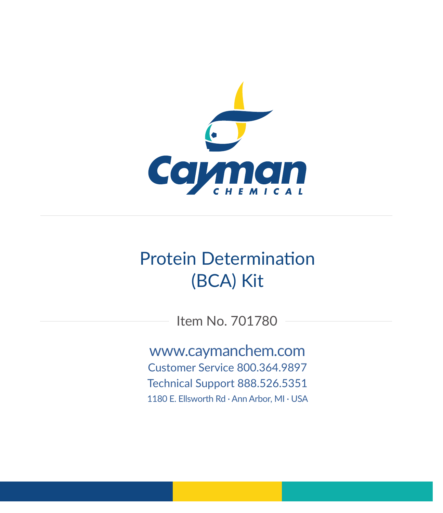

# Protein Determination (BCA) Kit

Item No. 701780

www.caymanchem.com Customer Service 800.364.9897 Technical Support 888.526.5351 1180 E. Ellsworth Rd · Ann Arbor, MI · USA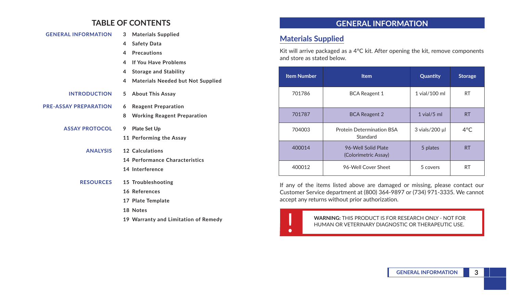### **TABLE OF CONTENTS**

| <b>GENERAL INFORMATION</b>   | 3  | <b>Materials Supplied</b>                |
|------------------------------|----|------------------------------------------|
|                              | 4  | <b>Safety Data</b>                       |
|                              | 4  | <b>Precautions</b>                       |
|                              | 4  | If You Have Problems                     |
|                              | 4  | <b>Storage and Stability</b>             |
|                              | 4  | <b>Materials Needed but Not Supplied</b> |
| <b>INTRODUCTION</b>          | 5  | <b>About This Assay</b>                  |
| <b>PRE-ASSAY PREPARATION</b> | 6  | <b>Reagent Preparation</b>               |
|                              | 8  | <b>Working Reagent Preparation</b>       |
| <b>ASSAY PROTOCOL</b>        | 9. | Plate Set Up                             |
|                              |    | 11 Performing the Assay                  |
| <b>ANALYSIS</b>              |    | 12 Calculations                          |
|                              |    | 14 Performance Characteristics           |
|                              |    | 14 Interference                          |
| <b>RESOURCES</b>             |    | 15 Troubleshooting                       |
|                              |    | 16 References                            |
|                              |    | 17 Plate Template                        |
|                              |    | 18 Notes                                 |
|                              |    |                                          |

**19 Warranty and Limitation of Remedy**

# **GENERAL INFORMATION**

### **Materials Supplied**

Kit will arrive packaged as a 4°C kit. After opening the kit, remove components and store as stated below.

| <b>Item Number</b> | <b>Item</b>                                  | Quantity         | <b>Storage</b> |
|--------------------|----------------------------------------------|------------------|----------------|
| 701786             | <b>BCA Reagent 1</b>                         | 1 vial/100 ml    | <b>RT</b>      |
| 701787             | <b>BCA Reagent 2</b>                         | $1$ vial/ $5$ ml | <b>RT</b>      |
| 704003             | <b>Protein Determination BSA</b><br>Standard | 3 vials/200 µl   | $4^{\circ}$ C  |
| 400014             | 96-Well Solid Plate<br>(Colorimetric Assay)  | 5 plates         | <b>RT</b>      |
| 400012             | 96-Well Cover Sheet                          | 5 covers         | RT             |

If any of the items listed above are damaged or missing, please contact our Customer Service department at (800) 364-9897 or (734) 971-3335. We cannot accept any returns without prior authorization.

**WARNING:** THIS PRODUCT IS FOR RESEARCH ONLY - NOT FOR HUMAN OR VETERINARY DIAGNOSTIC OR THERAPEUTIC USE. HUMAN OR VETERINARY DIAGNOSTIC OR THERAPEUTIC USE.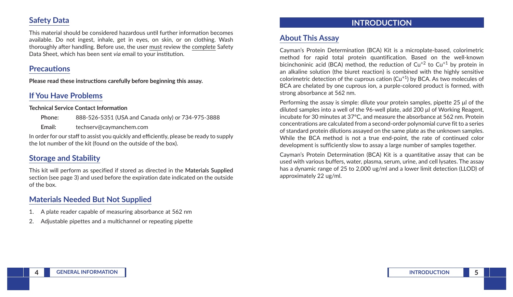### **Safety Data**

This material should be considered hazardous until further information becomes available. Do not ingest, inhale, get in eyes, on skin, or on clothing. Wash thoroughly after handling. Before use, the user must review the complete Safety Data Sheet, which has been sent *via* email to your institution.

#### **Precautions**

**Please read these instructions carefully before beginning this assay.**

### **If You Have Problems**

**Technical Service Contact Information**

| Phone: | 888-526-5351 (USA and Canada only) or 734-975-3888 |
|--------|----------------------------------------------------|
| Email: | techserv@caymanchem.com                            |

In order for our staff to assist you quickly and efficiently, please be ready to supply the lot number of the kit (found on the outside of the box).

# **Storage and Stability**

This kit will perform as specified if stored as directed in the **Materials Supplied** section (see page 3) and used before the expiration date indicated on the outside of the box.

# **Materials Needed But Not Supplied**

- 1. A plate reader capable of measuring absorbance at 562 nm
- Adjustable pipettes and a multichannel or repeating pipette

# **INTRODUCTION**

# **About This Assay**

Cayman's Protein Determination (BCA) Kit is a microplate-based, colorimetric method for rapid total protein quantification. Based on the well-known bicinchoninic acid (BCA) method, the reduction of  $Cu^{+2}$  to  $Cu^{+1}$  by protein in an alkaline solution (the biuret reaction) is combined with the highly sensitive colorimetric detection of the cuprous cation  $(Cu^{+1})$  by BCA. As two molecules of BCA are chelated by one cuprous ion, a purple-colored product is formed, with strong absorbance at 562 nm.

Performing the assay is simple: dilute your protein samples, pipette 25 μl of the diluted samples into a well of the 96-well plate, add 200 μl of Working Reagent, incubate for 30 minutes at 37°C, and measure the absorbance at 562 nm. Protein concentrations are calculated from a second-order polynomial curve fit to a series of standard protein dilutions assayed on the same plate as the unknown samples. While the BCA method is not a true end-point, the rate of continued color development is sufficiently slow to assay a large number of samples together.

Cayman's Protein Determination (BCA) Kit is a quantitative assay that can be used with various buffers, water, plasma, serum, urine, and cell lysates. The assay has a dynamic range of 25 to 2,000 ug/ml and a lower limit detection (LLOD) of approximately 22 ug/ml.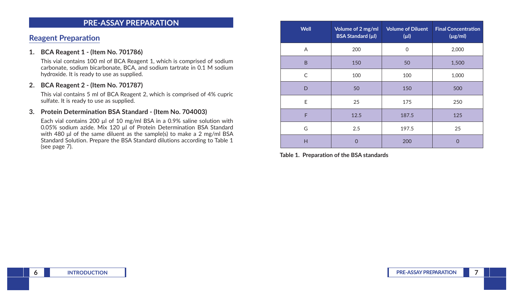#### **PRE-ASSAY PREPARATION**

#### **Reagent Preparation**

#### **1. BCA Reagent 1 - (Item No. 701786)**

This vial contains 100 ml of BCA Reagent 1, which is comprised of sodium carbonate, sodium bicarbonate, BCA, and sodium tartrate in 0.1 M sodium hydroxide. It is ready to use as supplied.

#### **2. BCA Reagent 2 - (Item No. 701787)**

This vial contains 5 ml of BCA Reagent 2, which is comprised of 4% cupric sulfate. It is ready to use as supplied.

#### **3. Protein Determination BSA Standard - (Item No. 704003)**

Each vial contains 200 µl of 10 mg/ml BSA in a 0.9% saline solution with 0.05% sodium azide. Mix 120 μl of Protein Determination BSA Standard with 480 μl of the same diluent as the sample(s) to make a 2 mg/ml BSA Standard Solution. Prepare the BSA Standard dilutions according to Table 1 (see page 7).

| Well | Volume of 2 mg/ml<br><b>BSA Standard (µl)</b> | <b>Volume of Diluent</b><br>$(\mu$ l | <b>Final Concentration</b><br>$(\mu g/ml)$ |
|------|-----------------------------------------------|--------------------------------------|--------------------------------------------|
| Α    | 200                                           | 0                                    | 2,000                                      |
| B    | 150                                           | 50                                   | 1,500                                      |
| C    | 100                                           | 100                                  | 1,000                                      |
| D    | 50                                            | 150                                  | 500                                        |
| E    | 25                                            | 175                                  | 250                                        |
| F    | 12.5                                          | 187.5                                | 125                                        |
| G    | 2.5                                           | 197.5                                | 25                                         |
| H    | 0                                             | 200                                  | $\Omega$                                   |

**Table 1. Preparation of the BSA standards**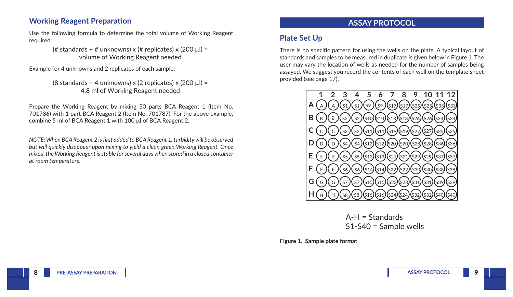#### **Working Reagent Preparation**

Use the following formula to determine the total volume of Working Reagent required:

> (# standards + # unknowns) x (# replicates) x (200  $\mu$ I) = volume of Working Reagent needed

Example for 4 unknowns and 2 replicates of each sample:

(8 standards + 4 unknowns) x (2 replicates) x (200  $\mu$ I) = 4.8 ml of Working Reagent needed

Prepare the Working Reagent by mixing 50 parts BCA Reagent 1 (Item No. 701786) with 1 part BCA Reagent 2 (Item No. 701787). For the above example, combine 5 ml of BCA Reagent 1 with 100 µl of BCA Reagent 2.

*NOTE: When BCA Reagent 2 is first added to BCA Reagent 1, turbidity will be observed but will quickly disappear upon mixing to yield a clear, green Working Reagent. Once mixed, the Working Reagent is stable for several days when stored in a closed container at room temperature.*

### **ASSAY PROTOCOL**

### **Plate Set Up**

There is no specific pattern for using the wells on the plate. A typical layout of standards and samples to be measured in duplicate is given below in Figure 1. The user may vary the location of wells as needed for the number of samples being assayed. We suggest you record the contents of each well on the template sheet provided (see page 17).



 $A-H =$ Standards S1-S40 = Sample wells

**Figure 1. Sample plate format**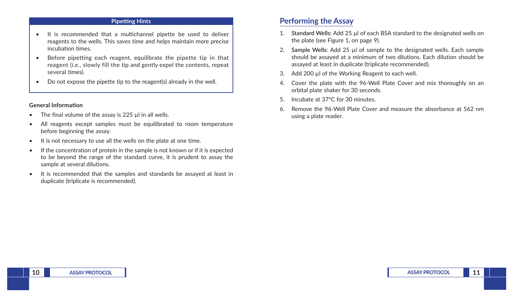#### **Pipetting Hints**

- It is recommended that a multichannel pipette be used to deliver reagents to the wells. This saves time and helps maintain more precise incubation times.
- Before pipetting each reagent, equilibrate the pipette tip in that reagent (*i.e.*, slowly fill the tip and gently expel the contents, repeat several times).
- Do not expose the pipette tip to the reagent(s) already in the well.

#### **General Information**

- The final volume of the assay is 225 µl in all wells.
- All reagents except samples must be equilibrated to room temperature before beginning the assay.
- It is not necessary to use all the wells on the plate at one time.
- If the concentration of protein in the sample is not known or if it is expected to be beyond the range of the standard curve, it is prudent to assay the sample at several dilutions.
- It is recommended that the samples and standards be assayed at least in duplicate (triplicate is recommended).

#### **Performing the Assay**

- 1. **Standard Wells:** Add 25 µl of each BSA standard to the designated wells on the plate (see Figure 1, on page 9).
- 2. **Sample Wells:** Add 25 µl of sample to the designated wells. Each sample should be assayed at a minimum of two dilutions. Each dilution should be assayed at least in duplicate (triplicate recommended).
- 3. Add 200 µl of the Working Reagent to each well.
- 4. Cover the plate with the 96-Well Plate Cover and mix thoroughly on an orbital plate shaker for 30 seconds.
- 5. Incubate at 37°C for 30 minutes.
- 6. Remove the 96-Well Plate Cover and measure the absorbance at 562 nm using a plate reader.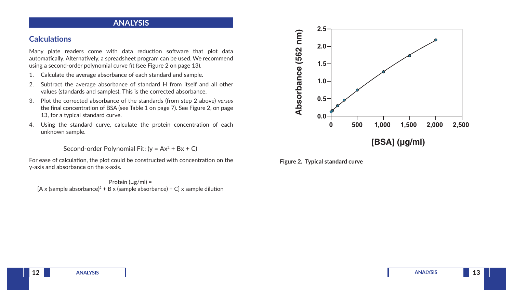#### **ANALYSIS**

### **Calculations**

Many plate readers come with data reduction software that plot data automatically. Alternatively, a spreadsheet program can be used. We recommend using a second-order polynomial curve fit (see Figure 2 on page 13).

- 1. Calculate the average absorbance of each standard and sample.
- 2. Subtract the average absorbance of standard H from itself and all other values (standards and samples). This is the corrected absorbance.
- 3. Plot the corrected absorbance of the standards (from step 2 above) *versus*  the final concentration of BSA (see Table 1 on page 7). See Figure 2, on page 13, for a typical standard curve.
- 4. Using the standard curve, calculate the protein concentration of each unknown sample.

Second-order Polynomial Fit:  $(y = Ax^2 + Bx + C)$ 

For ease of calculation, the plot could be constructed with concentration on the y-axis and absorbance on the x-axis.

Protein  $( \mu \mathbf{g}/m \mathbf{I} )$  = [A x (sample absorbance)<sup>2</sup> + B x (sample absorbance) + C] x sample dilution



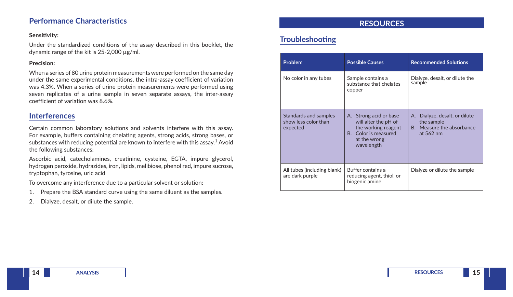#### **Performance Characteristics**

#### **Sensitivity:**

Under the standardized conditions of the assay described in this booklet, the dynamic range of the kit is 25-2,000 µg/ml.

#### **Precision:**

When a series of 80 urine protein measurements were performed on the same day under the same experimental conditions, the intra-assay coefficient of variation was 4.3%. When a series of urine protein measurements were performed using seven replicates of a urine sample in seven separate assays, the inter-assay coefficient of variation was 8.6%.

#### **Interferences**

Certain common laboratory solutions and solvents interfere with this assay. For example, buffers containing chelating agents, strong acids, strong bases, or substances with reducing potential are known to interfere with this assay.<sup>1</sup> Avoid the following substances:

Ascorbic acid, catecholamines, creatinine, cysteine, EGTA, impure glycerol, hydrogen peroxide, hydrazides, iron, lipids, melibiose, phenol red, impure sucrose, tryptophan, tyrosine, uric acid

To overcome any interference due to a particular solvent or solution:

- 1. Prepare the BSA standard curve using the same diluent as the samples.
- 2. Dialyze, desalt, or dilute the sample.

## **RESOURCES**

# **Troubleshooting**

| <b>Problem</b>                                            | <b>Possible Causes</b>                                                                                                      | <b>Recommended Solutions</b>                                                          |  |
|-----------------------------------------------------------|-----------------------------------------------------------------------------------------------------------------------------|---------------------------------------------------------------------------------------|--|
| No color in any tubes                                     | Sample contains a<br>substance that chelates<br>copper                                                                      | Dialyze, desalt, or dilute the<br>sample                                              |  |
| Standards and samples<br>show less color than<br>expected | A. Strong acid or base<br>will alter the pH of<br>the working reagent<br>B. Color is measured<br>at the wrong<br>wavelength | A. Dialyze, desalt, or dilute<br>the sample<br>B. Measure the absorbance<br>at 562 nm |  |
| All tubes (including blank)<br>are dark purple            | Buffer contains a<br>reducing agent, thiol, or<br>biogenic amine                                                            | Dialyze or dilute the sample                                                          |  |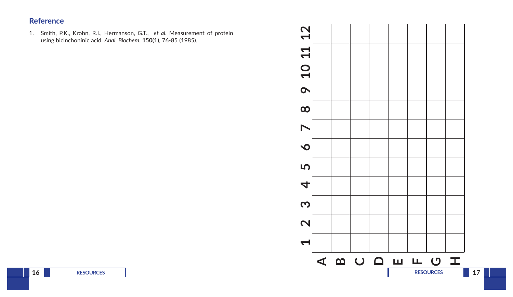### **Reference**

1. Smith, P.K., Krohn, R.I., Hermanson, G.T., *et al.* Measurement of protein using bicinchoninic acid. *Anal. Biochem.* **150(1)**, 76-85 (1985).